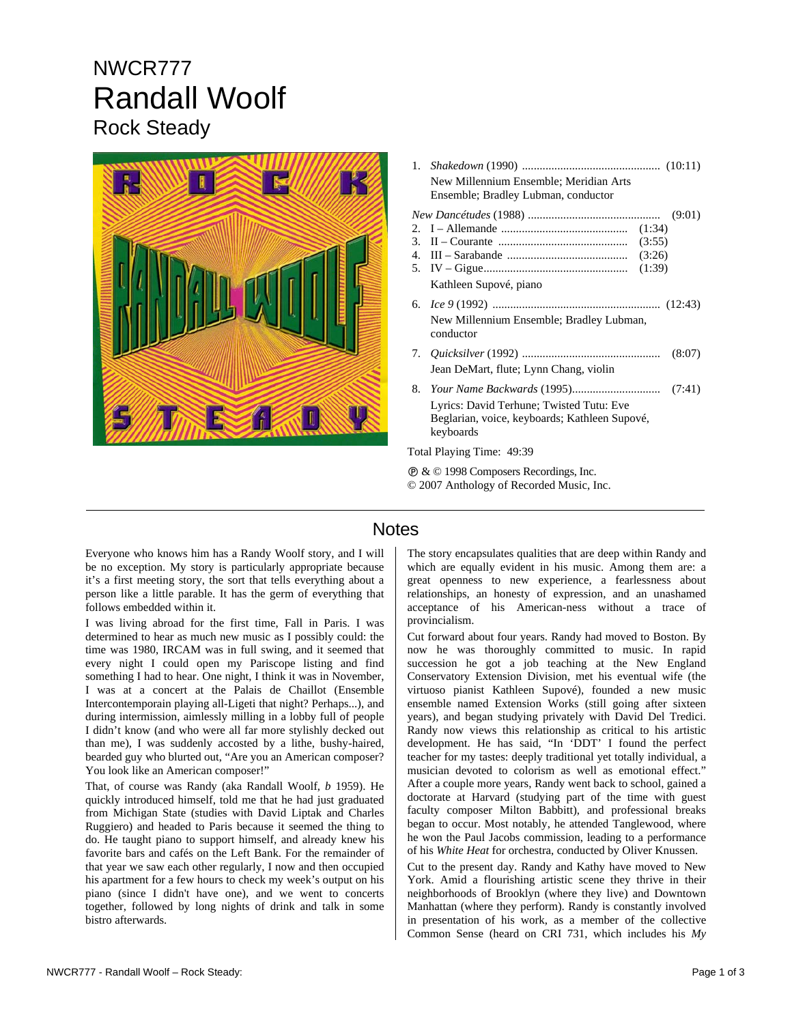## NWCR777 Randall Woolf Rock Steady



|                                                  | New Millennium Ensemble; Meridian Arts<br>Ensemble; Bradley Lubman, conductor             |
|--------------------------------------------------|-------------------------------------------------------------------------------------------|
|                                                  | (9:01)                                                                                    |
|                                                  |                                                                                           |
|                                                  |                                                                                           |
|                                                  |                                                                                           |
|                                                  |                                                                                           |
|                                                  | Kathleen Supové, piano                                                                    |
|                                                  |                                                                                           |
|                                                  | New Millennium Ensemble; Bradley Lubman,<br>conductor                                     |
|                                                  | (8:07)                                                                                    |
|                                                  | Jean DeMart, flute; Lynn Chang, violin                                                    |
| 8.                                               |                                                                                           |
|                                                  | Lyrics: David Terhune; Twisted Tutu: Eve<br>Beglarian, voice, keyboards; Kathleen Supové, |
|                                                  | keyboards                                                                                 |
| Total Playing Time: 49:39                        |                                                                                           |
| <b>@ &amp; © 1998 Composers Recordings, Inc.</b> |                                                                                           |

© 2007 Anthology of Recorded Music, Inc.

## **Notes**

Everyone who knows him has a Randy Woolf story, and I will be no exception. My story is particularly appropriate because it's a first meeting story, the sort that tells everything about a person like a little parable. It has the germ of everything that follows embedded within it.

I was living abroad for the first time, Fall in Paris. I was determined to hear as much new music as I possibly could: the time was 1980, IRCAM was in full swing, and it seemed that every night I could open my Pariscope listing and find something I had to hear. One night, I think it was in November, I was at a concert at the Palais de Chaillot (Ensemble Intercontemporain playing all-Ligeti that night? Perhaps...), and during intermission, aimlessly milling in a lobby full of people I didn't know (and who were all far more stylishly decked out than me), I was suddenly accosted by a lithe, bushy-haired, bearded guy who blurted out, "Are you an American composer? You look like an American composer!"

That, of course was Randy (aka Randall Woolf, *b* 1959). He quickly introduced himself, told me that he had just graduated from Michigan State (studies with David Liptak and Charles Ruggiero) and headed to Paris because it seemed the thing to do. He taught piano to support himself, and already knew his favorite bars and cafés on the Left Bank. For the remainder of that year we saw each other regularly, I now and then occupied his apartment for a few hours to check my week's output on his piano (since I didn't have one), and we went to concerts together, followed by long nights of drink and talk in some bistro afterwards.

The story encapsulates qualities that are deep within Randy and which are equally evident in his music. Among them are: a great openness to new experience, a fearlessness about relationships, an honesty of expression, and an unashamed acceptance of his American-ness without a trace of provincialism.

Cut forward about four years. Randy had moved to Boston. By now he was thoroughly committed to music. In rapid succession he got a job teaching at the New England Conservatory Extension Division, met his eventual wife (the virtuoso pianist Kathleen Supové), founded a new music ensemble named Extension Works (still going after sixteen years), and began studying privately with David Del Tredici. Randy now views this relationship as critical to his artistic development. He has said, "In 'DDT' I found the perfect teacher for my tastes: deeply traditional yet totally individual, a musician devoted to colorism as well as emotional effect." After a couple more years, Randy went back to school, gained a doctorate at Harvard (studying part of the time with guest faculty composer Milton Babbitt), and professional breaks began to occur. Most notably, he attended Tanglewood, where he won the Paul Jacobs commission, leading to a performance of his *White Heat* for orchestra, conducted by Oliver Knussen.

Cut to the present day. Randy and Kathy have moved to New York. Amid a flourishing artistic scene they thrive in their neighborhoods of Brooklyn (where they live) and Downtown Manhattan (where they perform). Randy is constantly involved in presentation of his work, as a member of the collective Common Sense (heard on CRI 731, which includes his *My*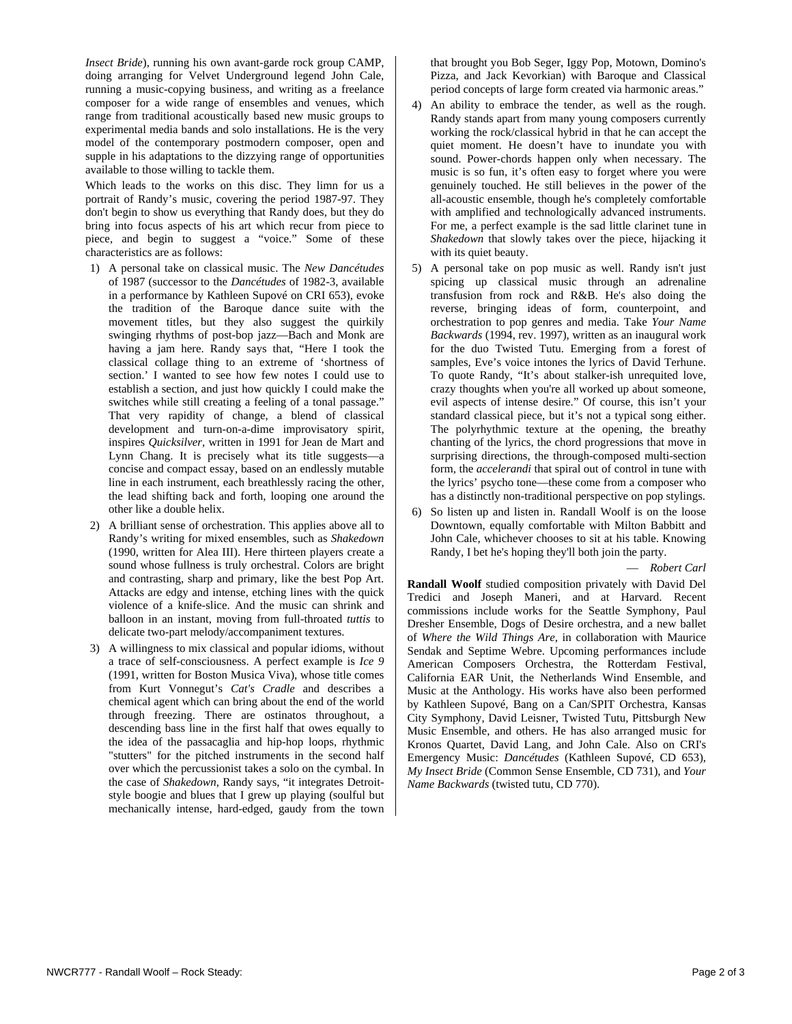*Insect Bride*), running his own avant-garde rock group CAMP, doing arranging for Velvet Underground legend John Cale, running a music-copying business, and writing as a freelance composer for a wide range of ensembles and venues, which range from traditional acoustically based new music groups to experimental media bands and solo installations. He is the very model of the contemporary postmodern composer, open and supple in his adaptations to the dizzying range of opportunities available to those willing to tackle them.

Which leads to the works on this disc. They limn for us a portrait of Randy's music, covering the period 1987-97. They don't begin to show us everything that Randy does, but they do bring into focus aspects of his art which recur from piece to piece, and begin to suggest a "voice." Some of these characteristics are as follows:

- 1) A personal take on classical music. The *New Dancétudes* of 1987 (successor to the *Dancétudes* of 1982-3, available in a performance by Kathleen Supové on CRI 653), evoke the tradition of the Baroque dance suite with the movement titles, but they also suggest the quirkily swinging rhythms of post-bop jazz—Bach and Monk are having a jam here. Randy says that, "Here I took the classical collage thing to an extreme of 'shortness of section.' I wanted to see how few notes I could use to establish a section, and just how quickly I could make the switches while still creating a feeling of a tonal passage." That very rapidity of change, a blend of classical development and turn-on-a-dime improvisatory spirit, inspires *Quicksilver*, written in 1991 for Jean de Mart and Lynn Chang. It is precisely what its title suggests—a concise and compact essay, based on an endlessly mutable line in each instrument, each breathlessly racing the other, the lead shifting back and forth, looping one around the other like a double helix.
- 2) A brilliant sense of orchestration. This applies above all to Randy's writing for mixed ensembles, such as *Shakedown* (1990, written for Alea III). Here thirteen players create a sound whose fullness is truly orchestral. Colors are bright and contrasting, sharp and primary, like the best Pop Art. Attacks are edgy and intense, etching lines with the quick violence of a knife-slice. And the music can shrink and balloon in an instant, moving from full-throated *tuttis* to delicate two-part melody/accompaniment textures.
- 3) A willingness to mix classical and popular idioms, without a trace of self-consciousness. A perfect example is *Ice 9* (1991, written for Boston Musica Viva), whose title comes from Kurt Vonnegut's *Cat's Cradle* and describes a chemical agent which can bring about the end of the world through freezing. There are ostinatos throughout, a descending bass line in the first half that owes equally to the idea of the passacaglia and hip-hop loops, rhythmic "stutters" for the pitched instruments in the second half over which the percussionist takes a solo on the cymbal. In the case of *Shakedown*, Randy says, "it integrates Detroitstyle boogie and blues that I grew up playing (soulful but mechanically intense, hard-edged, gaudy from the town

that brought you Bob Seger, Iggy Pop, Motown, Domino's Pizza, and Jack Kevorkian) with Baroque and Classical period concepts of large form created via harmonic areas."

- 4) An ability to embrace the tender, as well as the rough. Randy stands apart from many young composers currently working the rock/classical hybrid in that he can accept the quiet moment. He doesn't have to inundate you with sound. Power-chords happen only when necessary. The music is so fun, it's often easy to forget where you were genuinely touched. He still believes in the power of the all-acoustic ensemble, though he's completely comfortable with amplified and technologically advanced instruments. For me, a perfect example is the sad little clarinet tune in *Shakedown* that slowly takes over the piece, hijacking it with its quiet beauty.
- 5) A personal take on pop music as well. Randy isn't just spicing up classical music through an adrenaline transfusion from rock and R&B. He's also doing the reverse, bringing ideas of form, counterpoint, and orchestration to pop genres and media. Take *Your Name Backwards* (1994, rev. 1997), written as an inaugural work for the duo Twisted Tutu. Emerging from a forest of samples, Eve's voice intones the lyrics of David Terhune. To quote Randy, "It's about stalker-ish unrequited love, crazy thoughts when you're all worked up about someone, evil aspects of intense desire." Of course, this isn't your standard classical piece, but it's not a typical song either. The polyrhythmic texture at the opening, the breathy chanting of the lyrics, the chord progressions that move in surprising directions, the through-composed multi-section form, the *accelerandi* that spiral out of control in tune with the lyrics' psycho tone—these come from a composer who has a distinctly non-traditional perspective on pop stylings.
- 6) So listen up and listen in. Randall Woolf is on the loose Downtown, equally comfortable with Milton Babbitt and John Cale, whichever chooses to sit at his table. Knowing Randy, I bet he's hoping they'll both join the party.

— *Robert Carl* 

**Randall Woolf** studied composition privately with David Del Tredici and Joseph Maneri, and at Harvard. Recent commissions include works for the Seattle Symphony, Paul Dresher Ensemble, Dogs of Desire orchestra, and a new ballet of *Where the Wild Things Are*, in collaboration with Maurice Sendak and Septime Webre. Upcoming performances include American Composers Orchestra, the Rotterdam Festival, California EAR Unit, the Netherlands Wind Ensemble, and Music at the Anthology. His works have also been performed by Kathleen Supové, Bang on a Can/SPIT Orchestra, Kansas City Symphony, David Leisner, Twisted Tutu, Pittsburgh New Music Ensemble, and others. He has also arranged music for Kronos Quartet, David Lang, and John Cale. Also on CRI's Emergency Music: *Dancétudes* (Kathleen Supové, CD 653), *My Insect Bride* (Common Sense Ensemble, CD 731), and *Your Name Backwards* (twisted tutu, CD 770).